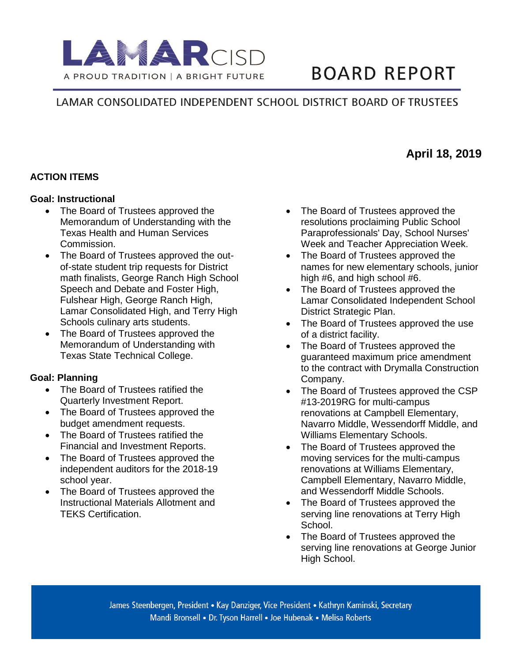

# **BOARD REPORT**

**April 18, 2019**

# LAMAR CONSOLIDATED INDEPENDENT SCHOOL DISTRICT BOARD OF TRUSTEES

#### **ACTION ITEMS**

#### **Goal: Instructional**

- The Board of Trustees approved the Memorandum of Understanding with the Texas Health and Human Services Commission.
- The Board of Trustees approved the outof-state student trip requests for District math finalists, George Ranch High School Speech and Debate and Foster High, Fulshear High, George Ranch High, Lamar Consolidated High, and Terry High Schools culinary arts students.
- The Board of Trustees approved the Memorandum of Understanding with Texas State Technical College.

#### **Goal: Planning**

- The Board of Trustees ratified the Quarterly Investment Report.
- The Board of Trustees approved the budget amendment requests.
- The Board of Trustees ratified the Financial and Investment Reports.
- The Board of Trustees approved the independent auditors for the 2018-19 school year.
- The Board of Trustees approved the Instructional Materials Allotment and TEKS Certification.
- The Board of Trustees approved the resolutions proclaiming Public School Paraprofessionals' Day, School Nurses' Week and Teacher Appreciation Week.
- The Board of Trustees approved the names for new elementary schools, junior high #6, and high school #6.
- The Board of Trustees approved the Lamar Consolidated Independent School District Strategic Plan.
- The Board of Trustees approved the use of a district facility.
- The Board of Trustees approved the guaranteed maximum price amendment to the contract with Drymalla Construction Company.
- The Board of Trustees approved the CSP #13-2019RG for multi-campus renovations at Campbell Elementary, Navarro Middle, Wessendorff Middle, and Williams Elementary Schools.
- The Board of Trustees approved the moving services for the multi-campus renovations at Williams Elementary, Campbell Elementary, Navarro Middle, and Wessendorff Middle Schools.
- The Board of Trustees approved the serving line renovations at Terry High School.
- The Board of Trustees approved the serving line renovations at George Junior High School.

James Steenbergen, President • Kay Danziger, Vice President • Kathryn Kaminski, Secretary Mandi Bronsell • Dr. Tyson Harrell • Joe Hubenak • Melisa Roberts